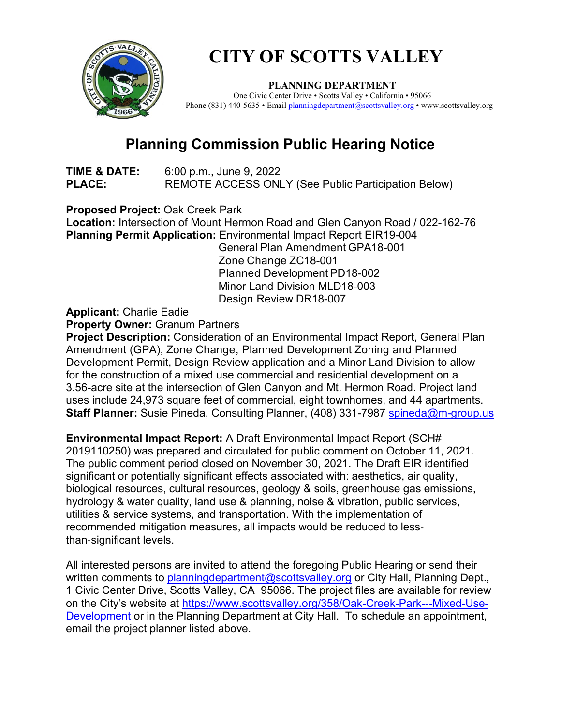

## **CITY OF SCOTTS VALLEY**

**PLANNING DEPARTMENT**<br>One Civic Center Drive • Scotts Valley • California • 95066 Phone (831) 440-5635 • Email [planningdepartment@scottsvalley.org](mailto:planningdepartment@scottsvalley.org) • www.scottsvalley.org

## **Planning Commission Public Hearing Notice**

**TIME & DATE:** 6:00 p.m., June 9, 2022 **PLACE:** REMOTE ACCESS ONLY (See Public Participation Below)

**Proposed Project:** Oak Creek Park **Location:** Intersection of Mount Hermon Road and Glen Canyon Road / 022-162-76 **Planning Permit Application:** Environmental Impact Report EIR19-004

General Plan Amendment GPA18-001 Zone Change ZC18-001 Planned Development PD18-002 Minor Land Division MLD18-003 Design Review DR18-007

**Applicant:** Charlie Eadie

**Property Owner:** Granum Partners

**Project Description:** Consideration of an Environmental Impact Report, General Plan Amendment (GPA), Zone Change, Planned Development Zoning and Planned Development Permit, Design Review application and a Minor Land Division to allow for the construction of a mixed use commercial and residential development on a 3.56-acre site at the intersection of Glen Canyon and Mt. Hermon Road. Project land uses include 24,973 square feet of commercial, eight townhomes, and 44 apartments. **Staff Planner:** Susie Pineda, Consulting Planner, (408) 331-7987 [spineda@m-group.us](mailto:spineda@m-group.us)

**Environmental Impact Report:** A Draft Environmental Impact Report (SCH# 2019110250) was prepared and circulated for public comment on October 11, 2021. The public comment period closed on November 30, 2021. The Draft EIR identified significant or potentially significant effects associated with: aesthetics, air quality, biological resources, cultural resources, geology & soils, greenhouse gas emissions, hydrology & water quality, land use & planning, noise & vibration, public services, utilities & service systems, and transportation. With the implementation of recommended mitigation measures, all impacts would be reduced to less‐ than‐significant levels.

All interested persons are invited to attend the foregoing Public Hearing or send their written comments to [planningdepartment@scottsvalley.org](mailto:planningdepartment@scottsvalley.org) or City Hall, Planning Dept., 1 Civic Center Drive, Scotts Valley, CA 95066. The project files are available for review on the City's website at [https://www.scottsvalley.org/358/Oak-Creek-Park---Mixed-Use-](https://www.scottsvalley.org/358/Oak-Creek-Park---Mixed-Use-Development)[Development](https://www.scottsvalley.org/358/Oak-Creek-Park---Mixed-Use-Development) or in the Planning Department at City Hall. To schedule an appointment, email the project planner listed above.